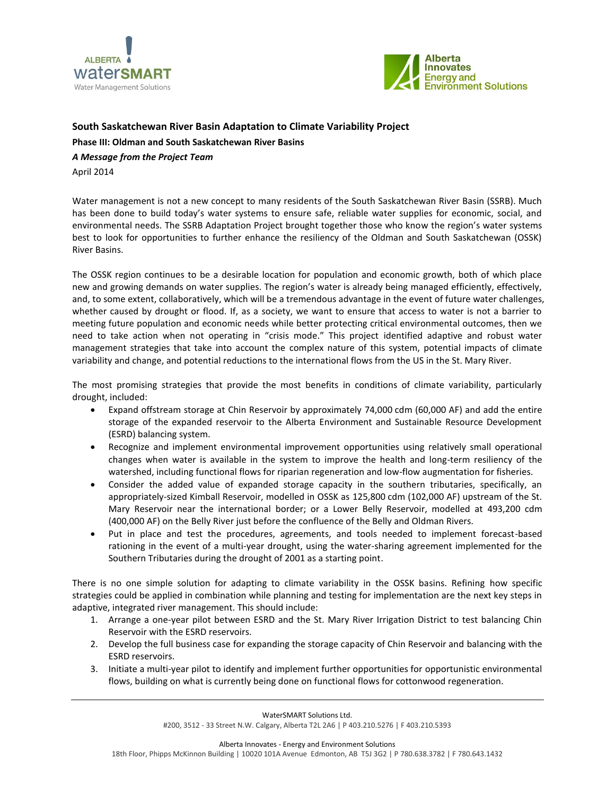



## **South Saskatchewan River Basin Adaptation to Climate Variability Project**

**Phase III: Oldman and South Saskatchewan River Basins**

*A Message from the Project Team*

April 2014

Water management is not a new concept to many residents of the South Saskatchewan River Basin (SSRB). Much has been done to build today's water systems to ensure safe, reliable water supplies for economic, social, and environmental needs. The SSRB Adaptation Project brought together those who know the region's water systems best to look for opportunities to further enhance the resiliency of the Oldman and South Saskatchewan (OSSK) River Basins.

The OSSK region continues to be a desirable location for population and economic growth, both of which place new and growing demands on water supplies. The region's water is already being managed efficiently, effectively, and, to some extent, collaboratively, which will be a tremendous advantage in the event of future water challenges, whether caused by drought or flood. If, as a society, we want to ensure that access to water is not a barrier to meeting future population and economic needs while better protecting critical environmental outcomes, then we need to take action when not operating in "crisis mode." This project identified adaptive and robust water management strategies that take into account the complex nature of this system, potential impacts of climate variability and change, and potential reductions to the international flows from the US in the St. Mary River.

The most promising strategies that provide the most benefits in conditions of climate variability, particularly drought, included:

- Expand offstream storage at Chin Reservoir by approximately 74,000 cdm (60,000 AF) and add the entire storage of the expanded reservoir to the Alberta Environment and Sustainable Resource Development (ESRD) balancing system.
- Recognize and implement environmental improvement opportunities using relatively small operational changes when water is available in the system to improve the health and long-term resiliency of the watershed, including functional flows for riparian regeneration and low-flow augmentation for fisheries.
- Consider the added value of expanded storage capacity in the southern tributaries, specifically, an appropriately-sized Kimball Reservoir, modelled in OSSK as 125,800 cdm (102,000 AF) upstream of the St. Mary Reservoir near the international border; or a Lower Belly Reservoir, modelled at 493,200 cdm (400,000 AF) on the Belly River just before the confluence of the Belly and Oldman Rivers.
- Put in place and test the procedures, agreements, and tools needed to implement forecast-based rationing in the event of a multi-year drought, using the water-sharing agreement implemented for the Southern Tributaries during the drought of 2001 as a starting point.

There is no one simple solution for adapting to climate variability in the OSSK basins. Refining how specific strategies could be applied in combination while planning and testing for implementation are the next key steps in adaptive, integrated river management. This should include:

- 1. Arrange a one-year pilot between ESRD and the St. Mary River Irrigation District to test balancing Chin Reservoir with the ESRD reservoirs.
- 2. Develop the full business case for expanding the storage capacity of Chin Reservoir and balancing with the ESRD reservoirs.
- 3. Initiate a multi-year pilot to identify and implement further opportunities for opportunistic environmental flows, building on what is currently being done on functional flows for cottonwood regeneration.